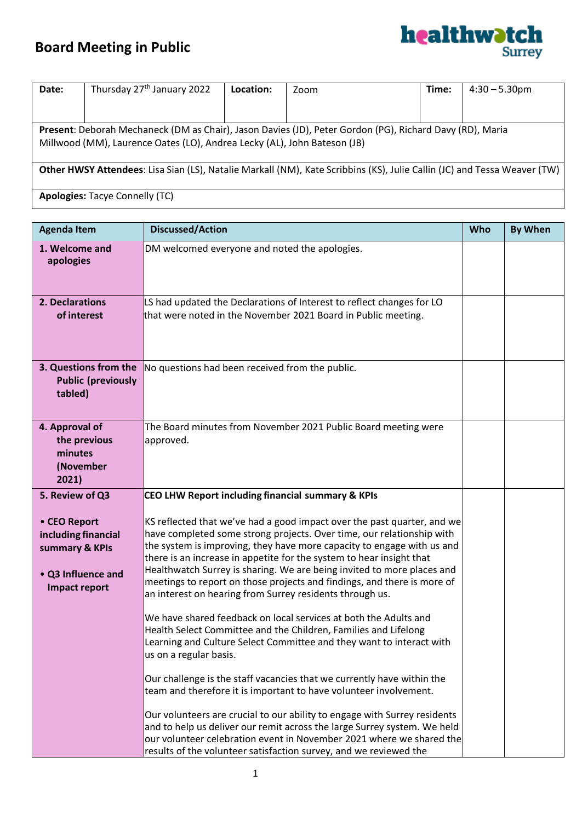

| Date:                                                                                                                    | Thursday 27 <sup>th</sup> January 2022 | Location: | Zoom | Time: | $4:30 - 5.30$ pm |
|--------------------------------------------------------------------------------------------------------------------------|----------------------------------------|-----------|------|-------|------------------|
|                                                                                                                          |                                        |           |      |       |                  |
|                                                                                                                          |                                        |           |      |       |                  |
| Present: Deborah Mechaneck (DM as Chair), Jason Davies (JD), Peter Gordon (PG), Richard Davy (RD), Maria                 |                                        |           |      |       |                  |
| Millwood (MM), Laurence Oates (LO), Andrea Lecky (AL), John Bateson (JB)                                                 |                                        |           |      |       |                  |
|                                                                                                                          |                                        |           |      |       |                  |
|                                                                                                                          |                                        |           |      |       |                  |
| Other HWSY Attendees: Lisa Sian (LS), Natalie Markall (NM), Kate Scribbins (KS), Julie Callin (JC) and Tessa Weaver (TW) |                                        |           |      |       |                  |
|                                                                                                                          |                                        |           |      |       |                  |
|                                                                                                                          |                                        |           |      |       |                  |

**Apologies:** Tacye Connelly (TC)

| <b>Agenda Item</b>                                                                                                     | <b>Discussed/Action</b>                                                                                                                                                                                                                                                                                                                                                                                                                                                                                                                                                                                                                                                                                                                                                                                                                                                                                                                                                                                                                                                                                                                                                                                                                                                | Who | <b>By When</b> |
|------------------------------------------------------------------------------------------------------------------------|------------------------------------------------------------------------------------------------------------------------------------------------------------------------------------------------------------------------------------------------------------------------------------------------------------------------------------------------------------------------------------------------------------------------------------------------------------------------------------------------------------------------------------------------------------------------------------------------------------------------------------------------------------------------------------------------------------------------------------------------------------------------------------------------------------------------------------------------------------------------------------------------------------------------------------------------------------------------------------------------------------------------------------------------------------------------------------------------------------------------------------------------------------------------------------------------------------------------------------------------------------------------|-----|----------------|
| 1. Welcome and<br>apologies                                                                                            | DM welcomed everyone and noted the apologies.                                                                                                                                                                                                                                                                                                                                                                                                                                                                                                                                                                                                                                                                                                                                                                                                                                                                                                                                                                                                                                                                                                                                                                                                                          |     |                |
| 2. Declarations<br>of interest                                                                                         | LS had updated the Declarations of Interest to reflect changes for LO<br>that were noted in the November 2021 Board in Public meeting.                                                                                                                                                                                                                                                                                                                                                                                                                                                                                                                                                                                                                                                                                                                                                                                                                                                                                                                                                                                                                                                                                                                                 |     |                |
| 3. Questions from the<br><b>Public (previously</b><br>tabled)                                                          | No questions had been received from the public.                                                                                                                                                                                                                                                                                                                                                                                                                                                                                                                                                                                                                                                                                                                                                                                                                                                                                                                                                                                                                                                                                                                                                                                                                        |     |                |
| 4. Approval of<br>the previous<br>minutes<br>(November<br>2021)                                                        | The Board minutes from November 2021 Public Board meeting were<br>approved.                                                                                                                                                                                                                                                                                                                                                                                                                                                                                                                                                                                                                                                                                                                                                                                                                                                                                                                                                                                                                                                                                                                                                                                            |     |                |
| 5. Review of Q3<br>• CEO Report<br>including financial<br>summary & KPIs<br>• Q3 Influence and<br><b>Impact report</b> | CEO LHW Report including financial summary & KPIs<br>KS reflected that we've had a good impact over the past quarter, and we<br>have completed some strong projects. Over time, our relationship with<br>the system is improving, they have more capacity to engage with us and<br>there is an increase in appetite for the system to hear insight that<br>Healthwatch Surrey is sharing. We are being invited to more places and<br>meetings to report on those projects and findings, and there is more of<br>an interest on hearing from Surrey residents through us.<br>We have shared feedback on local services at both the Adults and<br>Health Select Committee and the Children, Families and Lifelong<br>Learning and Culture Select Committee and they want to interact with<br>us on a regular basis.<br>Our challenge is the staff vacancies that we currently have within the<br>team and therefore it is important to have volunteer involvement.<br>Our volunteers are crucial to our ability to engage with Surrey residents<br>and to help us deliver our remit across the large Surrey system. We held<br>our volunteer celebration event in November 2021 where we shared the<br>results of the volunteer satisfaction survey, and we reviewed the |     |                |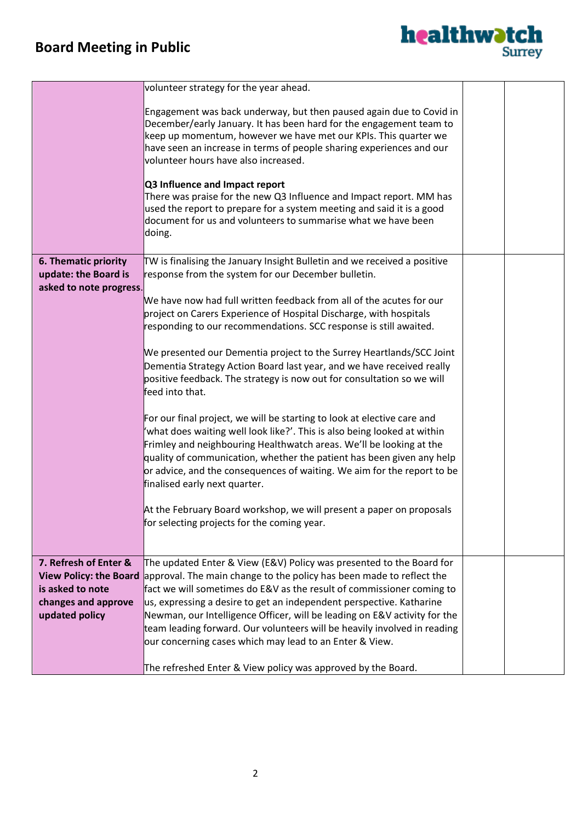

|                               | volunteer strategy for the year ahead.                                                                                                                                                                                                                                                                                                                          |  |
|-------------------------------|-----------------------------------------------------------------------------------------------------------------------------------------------------------------------------------------------------------------------------------------------------------------------------------------------------------------------------------------------------------------|--|
|                               | Engagement was back underway, but then paused again due to Covid in<br>December/early January. It has been hard for the engagement team to<br>keep up momentum, however we have met our KPIs. This quarter we<br>have seen an increase in terms of people sharing experiences and our<br>volunteer hours have also increased.<br>Q3 Influence and Impact report |  |
|                               | There was praise for the new Q3 Influence and Impact report. MM has<br>used the report to prepare for a system meeting and said it is a good<br>document for us and volunteers to summarise what we have been<br>doing.                                                                                                                                         |  |
|                               |                                                                                                                                                                                                                                                                                                                                                                 |  |
| 6. Thematic priority          | TW is finalising the January Insight Bulletin and we received a positive                                                                                                                                                                                                                                                                                        |  |
|                               |                                                                                                                                                                                                                                                                                                                                                                 |  |
| update: the Board is          | response from the system for our December bulletin.                                                                                                                                                                                                                                                                                                             |  |
| asked to note progress.       |                                                                                                                                                                                                                                                                                                                                                                 |  |
|                               | We have now had full written feedback from all of the acutes for our                                                                                                                                                                                                                                                                                            |  |
|                               | project on Carers Experience of Hospital Discharge, with hospitals                                                                                                                                                                                                                                                                                              |  |
|                               | responding to our recommendations. SCC response is still awaited.                                                                                                                                                                                                                                                                                               |  |
|                               |                                                                                                                                                                                                                                                                                                                                                                 |  |
|                               | We presented our Dementia project to the Surrey Heartlands/SCC Joint                                                                                                                                                                                                                                                                                            |  |
|                               | Dementia Strategy Action Board last year, and we have received really                                                                                                                                                                                                                                                                                           |  |
|                               | positive feedback. The strategy is now out for consultation so we will<br>feed into that.                                                                                                                                                                                                                                                                       |  |
|                               |                                                                                                                                                                                                                                                                                                                                                                 |  |
|                               | For our final project, we will be starting to look at elective care and                                                                                                                                                                                                                                                                                         |  |
|                               | 'what does waiting well look like?'. This is also being looked at within                                                                                                                                                                                                                                                                                        |  |
|                               | Frimley and neighbouring Healthwatch areas. We'll be looking at the                                                                                                                                                                                                                                                                                             |  |
|                               | quality of communication, whether the patient has been given any help                                                                                                                                                                                                                                                                                           |  |
|                               | or advice, and the consequences of waiting. We aim for the report to be                                                                                                                                                                                                                                                                                         |  |
|                               | finalised early next quarter.                                                                                                                                                                                                                                                                                                                                   |  |
|                               |                                                                                                                                                                                                                                                                                                                                                                 |  |
|                               | At the February Board workshop, we will present a paper on proposals                                                                                                                                                                                                                                                                                            |  |
|                               | for selecting projects for the coming year.                                                                                                                                                                                                                                                                                                                     |  |
|                               |                                                                                                                                                                                                                                                                                                                                                                 |  |
|                               |                                                                                                                                                                                                                                                                                                                                                                 |  |
|                               |                                                                                                                                                                                                                                                                                                                                                                 |  |
| 7. Refresh of Enter &         | The updated Enter & View (E&V) Policy was presented to the Board for                                                                                                                                                                                                                                                                                            |  |
| <b>View Policy: the Board</b> | approval. The main change to the policy has been made to reflect the                                                                                                                                                                                                                                                                                            |  |
| is asked to note              | fact we will sometimes do E&V as the result of commissioner coming to                                                                                                                                                                                                                                                                                           |  |
| changes and approve           | us, expressing a desire to get an independent perspective. Katharine                                                                                                                                                                                                                                                                                            |  |
| updated policy                | Newman, our Intelligence Officer, will be leading on E&V activity for the                                                                                                                                                                                                                                                                                       |  |
|                               | team leading forward. Our volunteers will be heavily involved in reading                                                                                                                                                                                                                                                                                        |  |
|                               | our concerning cases which may lead to an Enter & View.                                                                                                                                                                                                                                                                                                         |  |
|                               |                                                                                                                                                                                                                                                                                                                                                                 |  |
|                               | The refreshed Enter & View policy was approved by the Board.                                                                                                                                                                                                                                                                                                    |  |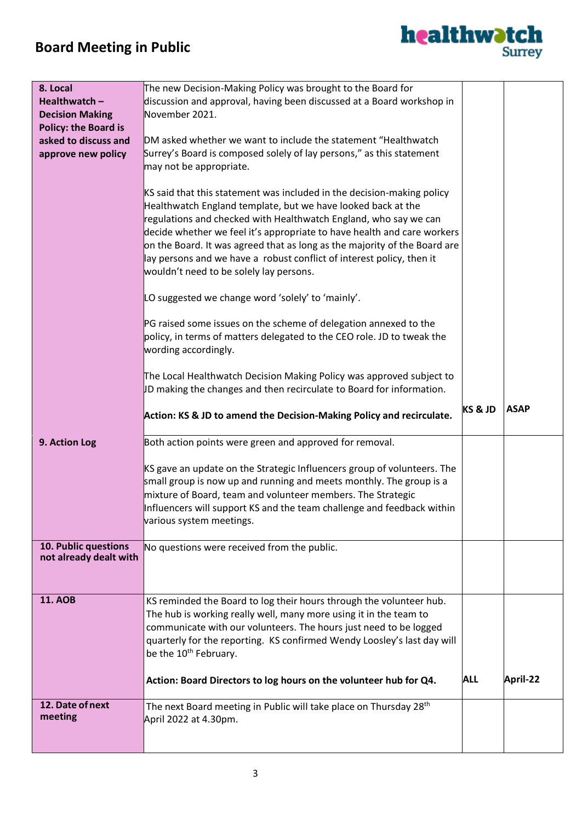

| 8. Local                    | The new Decision-Making Policy was brought to the Board for                                                                                |                    |             |
|-----------------------------|--------------------------------------------------------------------------------------------------------------------------------------------|--------------------|-------------|
| Healthwatch-                | discussion and approval, having been discussed at a Board workshop in                                                                      |                    |             |
| <b>Decision Making</b>      | November 2021.                                                                                                                             |                    |             |
| <b>Policy: the Board is</b> |                                                                                                                                            |                    |             |
| asked to discuss and        | DM asked whether we want to include the statement "Healthwatch                                                                             |                    |             |
| approve new policy          | Surrey's Board is composed solely of lay persons," as this statement<br>may not be appropriate.                                            |                    |             |
|                             |                                                                                                                                            |                    |             |
|                             | KS said that this statement was included in the decision-making policy                                                                     |                    |             |
|                             | Healthwatch England template, but we have looked back at the                                                                               |                    |             |
|                             | regulations and checked with Healthwatch England, who say we can                                                                           |                    |             |
|                             | decide whether we feel it's appropriate to have health and care workers                                                                    |                    |             |
|                             | on the Board. It was agreed that as long as the majority of the Board are                                                                  |                    |             |
|                             | lay persons and we have a robust conflict of interest policy, then it                                                                      |                    |             |
|                             | wouldn't need to be solely lay persons.                                                                                                    |                    |             |
|                             | LO suggested we change word 'solely' to 'mainly'.                                                                                          |                    |             |
|                             |                                                                                                                                            |                    |             |
|                             | PG raised some issues on the scheme of delegation annexed to the<br>policy, in terms of matters delegated to the CEO role. JD to tweak the |                    |             |
|                             | wording accordingly.                                                                                                                       |                    |             |
|                             |                                                                                                                                            |                    |             |
|                             | The Local Healthwatch Decision Making Policy was approved subject to                                                                       |                    |             |
|                             | JD making the changes and then recirculate to Board for information.                                                                       |                    |             |
|                             |                                                                                                                                            |                    |             |
|                             | Action: KS & JD to amend the Decision-Making Policy and recirculate.                                                                       | <b>KS &amp; JD</b> | <b>ASAP</b> |
| 9. Action Log               | Both action points were green and approved for removal.                                                                                    |                    |             |
|                             |                                                                                                                                            |                    |             |
|                             | KS gave an update on the Strategic Influencers group of volunteers. The                                                                    |                    |             |
|                             | small group is now up and running and meets monthly. The group is a                                                                        |                    |             |
|                             | mixture of Board, team and volunteer members. The Strategic                                                                                |                    |             |
|                             | Influencers will support KS and the team challenge and feedback within                                                                     |                    |             |
|                             | various system meetings.                                                                                                                   |                    |             |
| 10. Public questions        | No questions were received from the public.                                                                                                |                    |             |
| not already dealt with      |                                                                                                                                            |                    |             |
|                             |                                                                                                                                            |                    |             |
|                             |                                                                                                                                            |                    |             |
| <b>11. AOB</b>              | KS reminded the Board to log their hours through the volunteer hub.                                                                        |                    |             |
|                             | The hub is working really well, many more using it in the team to                                                                          |                    |             |
|                             | communicate with our volunteers. The hours just need to be logged                                                                          |                    |             |
|                             | quarterly for the reporting. KS confirmed Wendy Loosley's last day will                                                                    |                    |             |
|                             | be the 10 <sup>th</sup> February.                                                                                                          |                    |             |
|                             | Action: Board Directors to log hours on the volunteer hub for Q4.                                                                          | <b>ALL</b>         | April-22    |
|                             |                                                                                                                                            |                    |             |
| 12. Date of next            | The next Board meeting in Public will take place on Thursday 28 <sup>th</sup>                                                              |                    |             |
|                             |                                                                                                                                            |                    |             |
| meeting                     | April 2022 at 4.30pm.                                                                                                                      |                    |             |
|                             |                                                                                                                                            |                    |             |